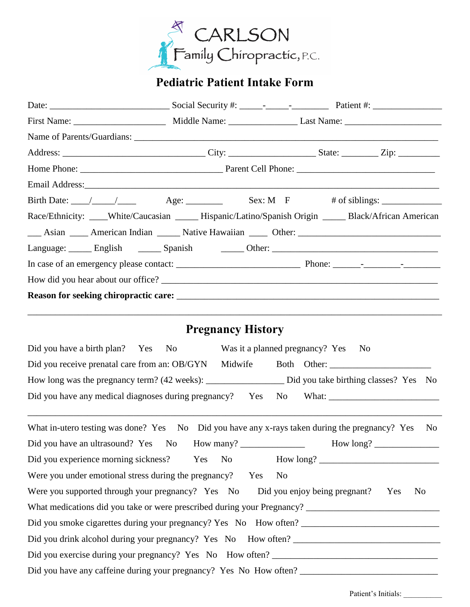

# **Pediatric Patient Intake Form**

| Birth Date: $\angle$ $\angle$ $\angle$ $\angle$ $\angle$ Age: $\angle$ Sex: M F # of siblings:       |  |
|------------------------------------------------------------------------------------------------------|--|
| Race/Ethnicity: ____White/Caucasian _____Hispanic/Latino/Spanish Origin ______Black/African American |  |
| Asian American Indian American Indian American Statistic Hawaiian American Other:                    |  |
| Language: English ________ Spanish __________ Other: ____________________________                    |  |
|                                                                                                      |  |
| How did you hear about our office?                                                                   |  |
|                                                                                                      |  |
|                                                                                                      |  |
|                                                                                                      |  |

## **Pregnancy History**

| Did you have a birth plan? Yes No                                                |         |      | Was it a planned pregnancy? Yes<br>- No |  |
|----------------------------------------------------------------------------------|---------|------|-----------------------------------------|--|
| Did you receive prenatal care from an: OB/GYN                                    | Midwife |      | Both Other:                             |  |
| How long was the pregnancy term? (42 weeks): ___________________________________ |         |      | Did you take birthing classes? Yes No   |  |
| Did you have any medical diagnoses during pregnancy?                             | Yes     | - No | What:                                   |  |

\_\_\_\_\_\_\_\_\_\_\_\_\_\_\_\_\_\_\_\_\_\_\_\_\_\_\_\_\_\_\_\_\_\_\_\_\_\_\_\_\_\_\_\_\_\_\_\_\_\_\_\_\_\_\_\_\_\_\_\_\_\_\_\_\_\_\_\_\_\_\_\_\_\_\_\_\_\_\_\_\_\_\_\_\_\_\_\_\_\_

| What in-utero testing was done? Yes No Did you have any x-rays taken during the pregnancy? Yes<br>No |
|------------------------------------------------------------------------------------------------------|
| Did you have an ultrasound? Yes No How many?                                                         |
| Did you experience morning sickness? Yes No How long?                                                |
| Were you under emotional stress during the pregnancy? Yes<br>N <sub>0</sub>                          |
| Were you supported through your pregnancy? Yes No Did you enjoy being pregnant? Yes<br>No.           |
|                                                                                                      |
| Did you smoke cigarettes during your pregnancy? Yes No How often?                                    |
| Did you drink alcohol during your pregnancy? Yes No How often?                                       |
| Did you exercise during your pregnancy? Yes No How often? _______________________                    |
| Did you have any caffeine during your pregnancy? Yes No How often?                                   |

Patient's Initials: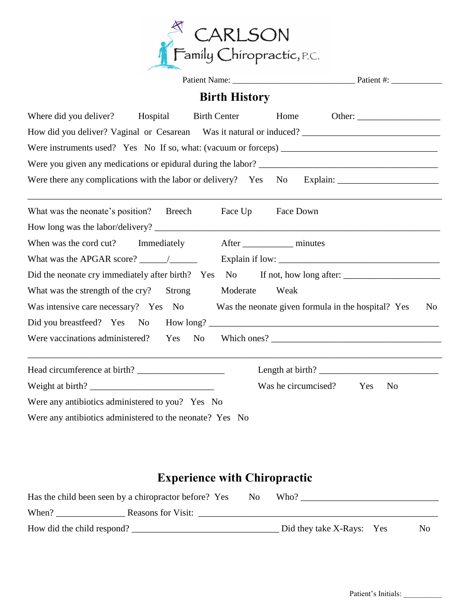

|                                                                 |             | <b>Birth History</b> |                     |  |                                                    |                |
|-----------------------------------------------------------------|-------------|----------------------|---------------------|--|----------------------------------------------------|----------------|
| Where did you deliver? Hospital Birth Center                    |             |                      | Home                |  |                                                    |                |
|                                                                 |             |                      |                     |  |                                                    |                |
|                                                                 |             |                      |                     |  |                                                    |                |
|                                                                 |             |                      |                     |  |                                                    |                |
| Were there any complications with the labor or delivery? Yes No |             |                      |                     |  |                                                    |                |
| What was the neonate's position? Breech                         |             | Face Up              | Face Down           |  |                                                    |                |
|                                                                 |             |                      |                     |  |                                                    |                |
| When was the cord cut?                                          | Immediately |                      | After minutes       |  |                                                    |                |
| What was the APGAR score? $\frac{\ }{\ }$                       |             |                      |                     |  |                                                    |                |
| Did the neonate cry immediately after birth? Yes                |             |                      |                     |  |                                                    |                |
| What was the strength of the cry?                               | Strong      | Moderate             | Weak                |  |                                                    |                |
| Was intensive care necessary? Yes No                            |             |                      |                     |  | Was the neonate given formula in the hospital? Yes | N <sub>0</sub> |
|                                                                 |             |                      |                     |  |                                                    |                |
| Were vaccinations administered?                                 | Yes         | <b>No</b>            |                     |  |                                                    |                |
| Head circumference at birth?                                    |             |                      |                     |  |                                                    |                |
|                                                                 |             |                      | Was he circumcised? |  | Yes<br>N <sub>o</sub>                              |                |
| Were any antibiotics administered to you? Yes No                |             |                      |                     |  |                                                    |                |
| Were any antibiotics administered to the neonate? Yes No        |             |                      |                     |  |                                                    |                |

## **Experience with Chiropractic**

|                            | Has the child been seen by a chiropractor before? Yes | No. | Who?                      |    |
|----------------------------|-------------------------------------------------------|-----|---------------------------|----|
| When?                      | <b>Reasons for Visit:</b>                             |     |                           |    |
| How did the child respond? |                                                       |     | Did they take X-Rays: Yes | No |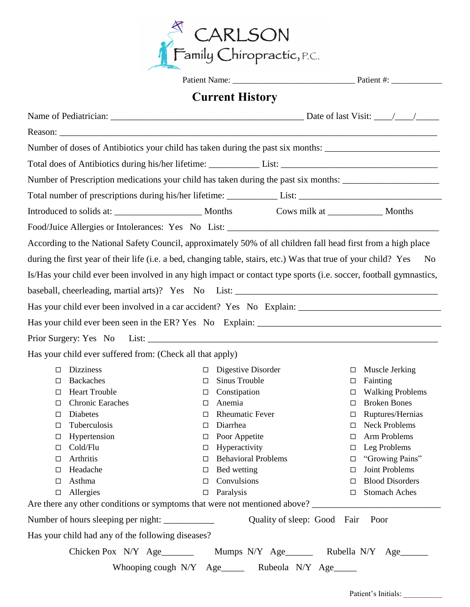

|        |                         |                                                                                                                                                                                                                                | <b>Current History</b>     |                                            |        |                         |
|--------|-------------------------|--------------------------------------------------------------------------------------------------------------------------------------------------------------------------------------------------------------------------------|----------------------------|--------------------------------------------|--------|-------------------------|
|        |                         |                                                                                                                                                                                                                                |                            |                                            |        |                         |
|        |                         |                                                                                                                                                                                                                                |                            |                                            |        |                         |
|        |                         | Number of doses of Antibiotics your child has taken during the past six months: ______________________________                                                                                                                 |                            |                                            |        |                         |
|        |                         | Total does of Antibiotics during his/her lifetime: List: List: List: List: List: List: List: List: List: List: List: List: List: List: List: List: List: List: List: List: List: List: List: List: List: List: List: List: Lis |                            |                                            |        |                         |
|        |                         |                                                                                                                                                                                                                                |                            |                                            |        |                         |
|        |                         | Number of Prescription medications your child has taken during the past six months: __________________________                                                                                                                 |                            |                                            |        |                         |
|        |                         | Total number of prescriptions during his/her lifetime: List: List: List: List: List: List: List: List: List: List: List: List: List: List: List: List: List: List: List: List: List: List: List: List: List: List: List: List: |                            |                                            |        |                         |
|        |                         |                                                                                                                                                                                                                                |                            |                                            |        |                         |
|        |                         |                                                                                                                                                                                                                                |                            |                                            |        |                         |
|        |                         | According to the National Safety Council, approximately 50% of all children fall head first from a high place                                                                                                                  |                            |                                            |        |                         |
|        |                         | during the first year of their life (i.e. a bed, changing table, stairs, etc.) Was that true of your child? Yes                                                                                                                |                            |                                            |        | N <sub>0</sub>          |
|        |                         | Is/Has your child ever been involved in any high impact or contact type sports (i.e. soccer, football gymnastics,                                                                                                              |                            |                                            |        |                         |
|        |                         |                                                                                                                                                                                                                                |                            |                                            |        |                         |
|        |                         |                                                                                                                                                                                                                                |                            |                                            |        |                         |
|        |                         |                                                                                                                                                                                                                                |                            |                                            |        |                         |
|        |                         |                                                                                                                                                                                                                                |                            |                                            |        |                         |
|        |                         |                                                                                                                                                                                                                                |                            |                                            |        |                         |
|        |                         | Has your child ever suffered from: (Check all that apply)                                                                                                                                                                      |                            |                                            |        |                         |
| □      | <b>Dizziness</b>        | $\Box$                                                                                                                                                                                                                         | Digestive Disorder         |                                            | □      | Muscle Jerking          |
| □      | <b>Backaches</b>        | $\Box$                                                                                                                                                                                                                         | Sinus Trouble              |                                            | $\Box$ | Fainting                |
| □      | <b>Heart Trouble</b>    | $\Box$                                                                                                                                                                                                                         | Constipation               |                                            | □      | <b>Walking Problems</b> |
| □      | <b>Chronic Earaches</b> | □                                                                                                                                                                                                                              | Anemia                     |                                            | П      | <b>Broken Bones</b>     |
| $\Box$ | Diabetes                | $\Box$                                                                                                                                                                                                                         | <b>Rheumatic Fever</b>     |                                            | □      | Ruptures/Hernias        |
| □      | Tuberculosis            | □                                                                                                                                                                                                                              | Diarrhea                   |                                            | □      | <b>Neck Problems</b>    |
| □      | Hypertension            | $\Box$                                                                                                                                                                                                                         | Poor Appetite              |                                            | □      | Arm Problems            |
| $\Box$ | Cold/Flu                | □                                                                                                                                                                                                                              | Hyperactivity              |                                            | $\Box$ | Leg Problems            |
| □      | Arthritis               | $\Box$                                                                                                                                                                                                                         | <b>Behavioral Problems</b> |                                            | $\Box$ | "Growing Pains"         |
| □      | Headache                | □                                                                                                                                                                                                                              | Bed wetting                |                                            | □      | Joint Problems          |
| □      | Asthma                  | □                                                                                                                                                                                                                              | Convulsions                |                                            | □      | <b>Blood Disorders</b>  |
| $\Box$ | Allergies               | $\Box$                                                                                                                                                                                                                         | Paralysis                  |                                            | □      | <b>Stomach Aches</b>    |
|        |                         | Are there any other conditions or symptoms that were not mentioned above?                                                                                                                                                      |                            |                                            |        |                         |
|        |                         |                                                                                                                                                                                                                                |                            | Quality of sleep: Good Fair                |        | Poor                    |
|        |                         | Has your child had any of the following diseases?                                                                                                                                                                              |                            |                                            |        |                         |
|        |                         | Chicken Pox $N/Y$ Age                                                                                                                                                                                                          |                            | Mumps N/Y Age________ Rubella N/Y Age_____ |        |                         |
|        |                         | Whooping cough N/Y Age_______ Rubeola N/Y Age_____                                                                                                                                                                             |                            |                                            |        |                         |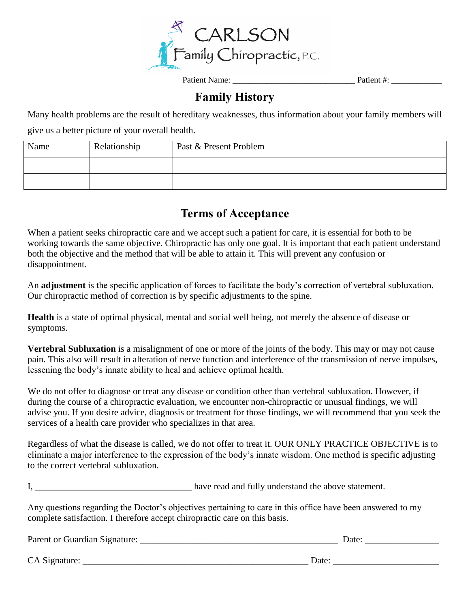

Patient Name: <br> Patient #:

### **Family History**

Many health problems are the result of hereditary weaknesses, thus information about your family members will give us a better picture of your overall health.

| Name | Relationship | Past & Present Problem |
|------|--------------|------------------------|
|      |              |                        |
|      |              |                        |

#### **Terms of Acceptance**

When a patient seeks chiropractic care and we accept such a patient for care, it is essential for both to be working towards the same objective. Chiropractic has only one goal. It is important that each patient understand both the objective and the method that will be able to attain it. This will prevent any confusion or disappointment.

An **adjustment** is the specific application of forces to facilitate the body's correction of vertebral subluxation. Our chiropractic method of correction is by specific adjustments to the spine.

**Health** is a state of optimal physical, mental and social well being, not merely the absence of disease or symptoms.

**Vertebral Subluxation** is a misalignment of one or more of the joints of the body. This may or may not cause pain. This also will result in alteration of nerve function and interference of the transmission of nerve impulses, lessening the body's innate ability to heal and achieve optimal health.

We do not offer to diagnose or treat any disease or condition other than vertebral subluxation. However, if during the course of a chiropractic evaluation, we encounter non-chiropractic or unusual findings, we will advise you. If you desire advice, diagnosis or treatment for those findings, we will recommend that you seek the services of a health care provider who specializes in that area.

Regardless of what the disease is called, we do not offer to treat it. OUR ONLY PRACTICE OBJECTIVE is to eliminate a major interference to the expression of the body's innate wisdom. One method is specific adjusting to the correct vertebral subluxation.

I, have read and fully understand the above statement.

Any questions regarding the Doctor's objectives pertaining to care in this office have been answered to my complete satisfaction. I therefore accept chiropractic care on this basis.

| Parent or Guardian Signature: | Jate |
|-------------------------------|------|
|-------------------------------|------|

CA Signature: \_\_\_\_\_\_\_\_\_\_\_\_\_\_\_\_\_\_\_\_\_\_\_\_\_\_\_\_\_\_\_\_\_\_\_\_\_\_\_\_\_\_\_\_\_\_\_\_\_ Date: \_\_\_\_\_\_\_\_\_\_\_\_\_\_\_\_\_\_\_\_\_\_\_